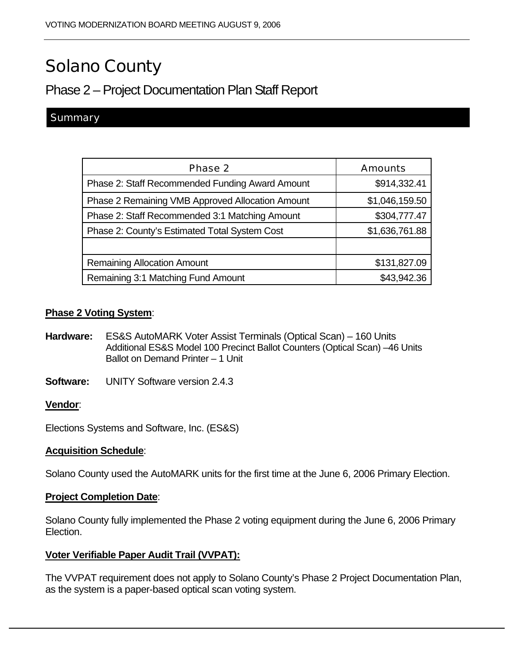# Solano County

# Phase 2 – Project Documentation Plan Staff Report

### **Summary**

| Phase 2                                          | <b>Amounts</b> |
|--------------------------------------------------|----------------|
| Phase 2: Staff Recommended Funding Award Amount  | \$914,332.41   |
| Phase 2 Remaining VMB Approved Allocation Amount | \$1,046,159.50 |
| Phase 2: Staff Recommended 3:1 Matching Amount   | \$304,777.47   |
| Phase 2: County's Estimated Total System Cost    | \$1,636,761.88 |
|                                                  |                |
| <b>Remaining Allocation Amount</b>               | \$131,827.09   |
| Remaining 3:1 Matching Fund Amount               | \$43,942.36    |

#### **Phase 2 Voting System**:

- **Hardware:** ES&S AutoMARK Voter Assist Terminals (Optical Scan) 160 Units Additional ES&S Model 100 Precinct Ballot Counters (Optical Scan) –46 Units Ballot on Demand Printer – 1 Unit
- **Software:** UNITY Software version 2.4.3

#### **Vendor**:

Elections Systems and Software, Inc. (ES&S)

#### **Acquisition Schedule**:

Solano County used the AutoMARK units for the first time at the June 6, 2006 Primary Election.

#### **Project Completion Date**:

Solano County fully implemented the Phase 2 voting equipment during the June 6, 2006 Primary Election.

#### **Voter Verifiable Paper Audit Trail (VVPAT):**

The VVPAT requirement does not apply to Solano County's Phase 2 Project Documentation Plan, as the system is a paper-based optical scan voting system.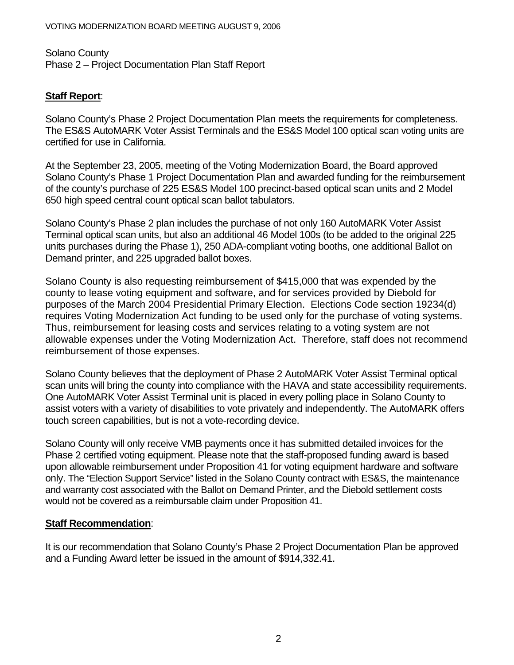Solano County Phase 2 – Project Documentation Plan Staff Report

## **Staff Report**:

Solano County's Phase 2 Project Documentation Plan meets the requirements for completeness. The ES&S AutoMARK Voter Assist Terminals and the ES&S Model 100 optical scan voting units are certified for use in California.

At the September 23, 2005, meeting of the Voting Modernization Board, the Board approved Solano County's Phase 1 Project Documentation Plan and awarded funding for the reimbursement of the county's purchase of 225 ES&S Model 100 precinct-based optical scan units and 2 Model 650 high speed central count optical scan ballot tabulators.

Solano County's Phase 2 plan includes the purchase of not only 160 AutoMARK Voter Assist Terminal optical scan units, but also an additional 46 Model 100s (to be added to the original 225 units purchases during the Phase 1), 250 ADA-compliant voting booths, one additional Ballot on Demand printer, and 225 upgraded ballot boxes.

Solano County is also requesting reimbursement of \$415,000 that was expended by the county to lease voting equipment and software, and for services provided by Diebold for purposes of the March 2004 Presidential Primary Election. Elections Code section 19234(d) requires Voting Modernization Act funding to be used only for the purchase of voting systems. Thus, reimbursement for leasing costs and services relating to a voting system are not allowable expenses under the Voting Modernization Act. Therefore, staff does not recommend reimbursement of those expenses.

Solano County believes that the deployment of Phase 2 AutoMARK Voter Assist Terminal optical scan units will bring the county into compliance with the HAVA and state accessibility requirements. One AutoMARK Voter Assist Terminal unit is placed in every polling place in Solano County to assist voters with a variety of disabilities to vote privately and independently. The AutoMARK offers touch screen capabilities, but is not a vote-recording device.

Solano County will only receive VMB payments once it has submitted detailed invoices for the Phase 2 certified voting equipment. Please note that the staff-proposed funding award is based upon allowable reimbursement under Proposition 41 for voting equipment hardware and software only. The "Election Support Service" listed in the Solano County contract with ES&S, the maintenance and warranty cost associated with the Ballot on Demand Printer, and the Diebold settlement costs would not be covered as a reimbursable claim under Proposition 41.

#### **Staff Recommendation**:

It is our recommendation that Solano County's Phase 2 Project Documentation Plan be approved and a Funding Award letter be issued in the amount of \$914,332.41.